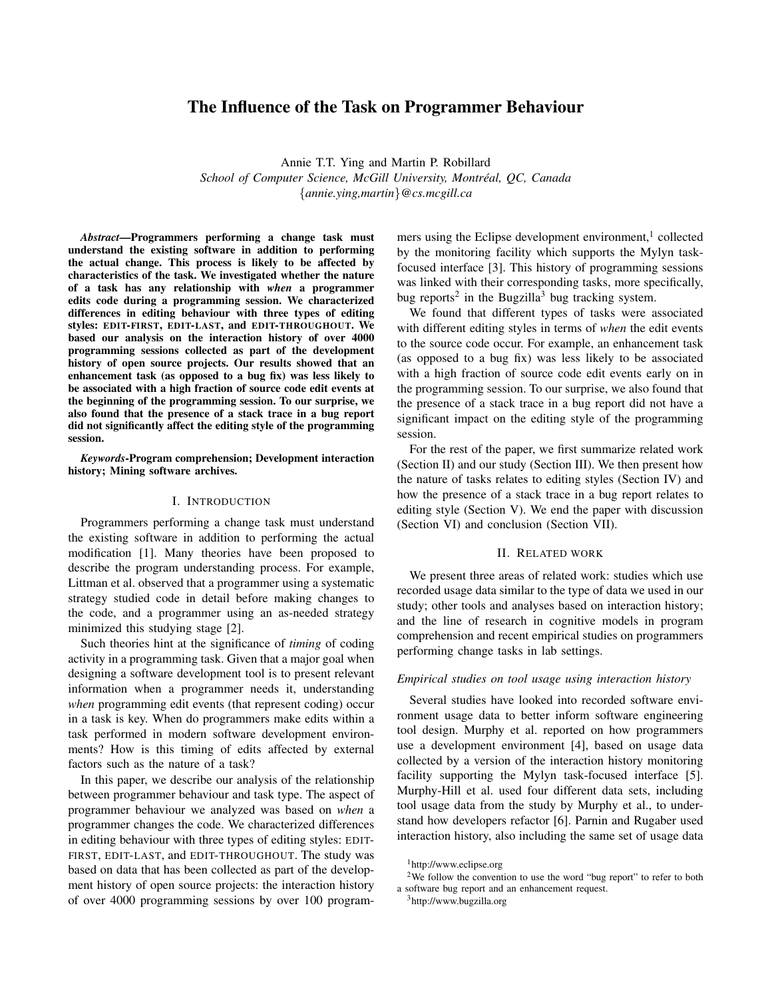# **The Influence of the Task on Programmer Behaviour**

Annie T.T. Ying and Martin P. Robillard *School of Computer Science, McGill University, Montreal, QC, Canada ´* {*annie.ying,martin*}*@cs.mcgill.ca*

*Abstract***—Programmers performing a change task must understand the existing software in addition to performing the actual change. This process is likely to be affected by characteristics of the task. We investigated whether the nature of a task has any relationship with** *when* **a programmer edits code during a programming session. We characterized differences in editing behaviour with three types of editing styles: EDIT-FIRST, EDIT-LAST, and EDIT-THROUGHOUT. We based our analysis on the interaction history of over 4000 programming sessions collected as part of the development history of open source projects. Our results showed that an enhancement task (as opposed to a bug fix) was less likely to be associated with a high fraction of source code edit events at the beginning of the programming session. To our surprise, we also found that the presence of a stack trace in a bug report did not significantly affect the editing style of the programming session.**

*Keywords***-Program comprehension; Development interaction history; Mining software archives.**

#### I. INTRODUCTION

Programmers performing a change task must understand the existing software in addition to performing the actual modification [1]. Many theories have been proposed to describe the program understanding process. For example, Littman et al. observed that a programmer using a systematic strategy studied code in detail before making changes to the code, and a programmer using an as-needed strategy minimized this studying stage [2].

Such theories hint at the significance of *timing* of coding activity in a programming task. Given that a major goal when designing a software development tool is to present relevant information when a programmer needs it, understanding *when* programming edit events (that represent coding) occur in a task is key. When do programmers make edits within a task performed in modern software development environments? How is this timing of edits affected by external factors such as the nature of a task?

In this paper, we describe our analysis of the relationship between programmer behaviour and task type. The aspect of programmer behaviour we analyzed was based on *when* a programmer changes the code. We characterized differences in editing behaviour with three types of editing styles: EDIT-FIRST, EDIT-LAST, and EDIT-THROUGHOUT. The study was based on data that has been collected as part of the development history of open source projects: the interaction history of over 4000 programming sessions by over 100 programmers using the Eclipse development environment, $\frac{1}{1}$  collected by the monitoring facility which supports the Mylyn taskfocused interface [3]. This history of programming sessions was linked with their corresponding tasks, more specifically, bug reports<sup>2</sup> in the Bugzilla<sup>3</sup> bug tracking system.

We found that different types of tasks were associated with different editing styles in terms of *when* the edit events to the source code occur. For example, an enhancement task (as opposed to a bug fix) was less likely to be associated with a high fraction of source code edit events early on in the programming session. To our surprise, we also found that the presence of a stack trace in a bug report did not have a significant impact on the editing style of the programming session.

For the rest of the paper, we first summarize related work (Section II) and our study (Section III). We then present how the nature of tasks relates to editing styles (Section IV) and how the presence of a stack trace in a bug report relates to editing style (Section V). We end the paper with discussion (Section VI) and conclusion (Section VII).

# II. RELATED WORK

We present three areas of related work: studies which use recorded usage data similar to the type of data we used in our study; other tools and analyses based on interaction history; and the line of research in cognitive models in program comprehension and recent empirical studies on programmers performing change tasks in lab settings.

# *Empirical studies on tool usage using interaction history*

Several studies have looked into recorded software environment usage data to better inform software engineering tool design. Murphy et al. reported on how programmers use a development environment [4], based on usage data collected by a version of the interaction history monitoring facility supporting the Mylyn task-focused interface [5]. Murphy-Hill et al. used four different data sets, including tool usage data from the study by Murphy et al., to understand how developers refactor [6]. Parnin and Rugaber used interaction history, also including the same set of usage data

<sup>1</sup>http://www.eclipse.org

<sup>2</sup>We follow the convention to use the word "bug report" to refer to both a software bug report and an enhancement request.

<sup>3</sup>http://www.bugzilla.org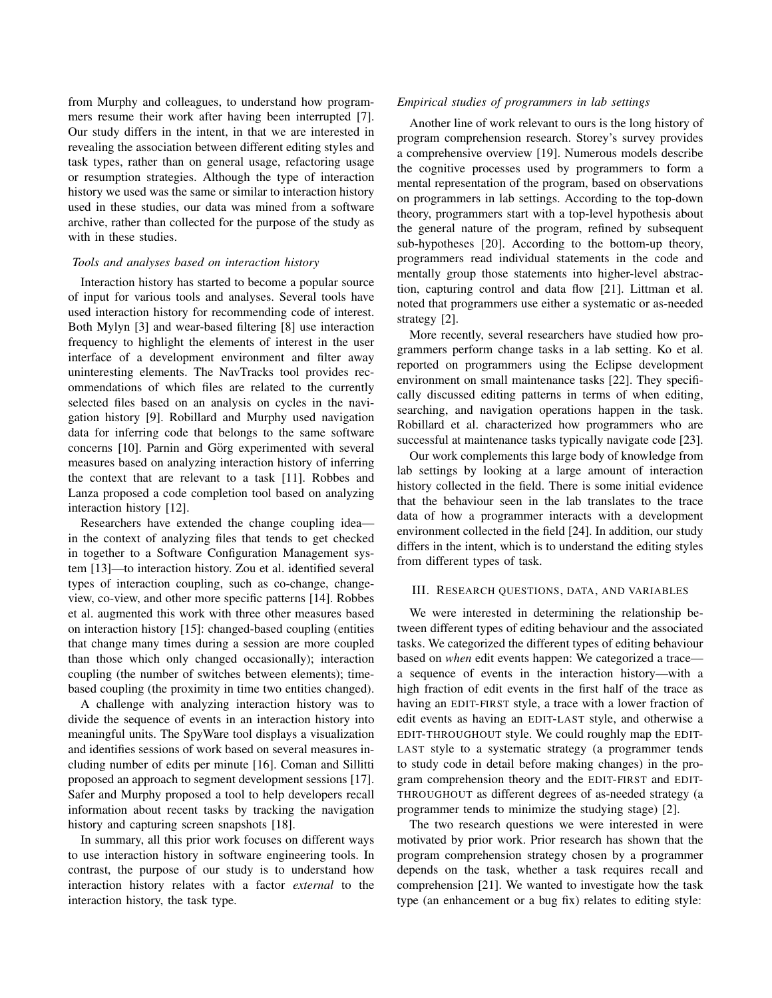from Murphy and colleagues, to understand how programmers resume their work after having been interrupted [7]. Our study differs in the intent, in that we are interested in revealing the association between different editing styles and task types, rather than on general usage, refactoring usage or resumption strategies. Although the type of interaction history we used was the same or similar to interaction history used in these studies, our data was mined from a software archive, rather than collected for the purpose of the study as with in these studies.

# *Tools and analyses based on interaction history*

Interaction history has started to become a popular source of input for various tools and analyses. Several tools have used interaction history for recommending code of interest. Both Mylyn [3] and wear-based filtering [8] use interaction frequency to highlight the elements of interest in the user interface of a development environment and filter away uninteresting elements. The NavTracks tool provides recommendations of which files are related to the currently selected files based on an analysis on cycles in the navigation history [9]. Robillard and Murphy used navigation data for inferring code that belongs to the same software concerns [10]. Parnin and Görg experimented with several measures based on analyzing interaction history of inferring the context that are relevant to a task [11]. Robbes and Lanza proposed a code completion tool based on analyzing interaction history [12].

Researchers have extended the change coupling idea in the context of analyzing files that tends to get checked in together to a Software Configuration Management system [13]—to interaction history. Zou et al. identified several types of interaction coupling, such as co-change, changeview, co-view, and other more specific patterns [14]. Robbes et al. augmented this work with three other measures based on interaction history [15]: changed-based coupling (entities that change many times during a session are more coupled than those which only changed occasionally); interaction coupling (the number of switches between elements); timebased coupling (the proximity in time two entities changed).

A challenge with analyzing interaction history was to divide the sequence of events in an interaction history into meaningful units. The SpyWare tool displays a visualization and identifies sessions of work based on several measures including number of edits per minute [16]. Coman and Sillitti proposed an approach to segment development sessions [17]. Safer and Murphy proposed a tool to help developers recall information about recent tasks by tracking the navigation history and capturing screen snapshots [18].

In summary, all this prior work focuses on different ways to use interaction history in software engineering tools. In contrast, the purpose of our study is to understand how interaction history relates with a factor *external* to the interaction history, the task type.

### *Empirical studies of programmers in lab settings*

Another line of work relevant to ours is the long history of program comprehension research. Storey's survey provides a comprehensive overview [19]. Numerous models describe the cognitive processes used by programmers to form a mental representation of the program, based on observations on programmers in lab settings. According to the top-down theory, programmers start with a top-level hypothesis about the general nature of the program, refined by subsequent sub-hypotheses [20]. According to the bottom-up theory, programmers read individual statements in the code and mentally group those statements into higher-level abstraction, capturing control and data flow [21]. Littman et al. noted that programmers use either a systematic or as-needed strategy [2].

More recently, several researchers have studied how programmers perform change tasks in a lab setting. Ko et al. reported on programmers using the Eclipse development environment on small maintenance tasks [22]. They specifically discussed editing patterns in terms of when editing, searching, and navigation operations happen in the task. Robillard et al. characterized how programmers who are successful at maintenance tasks typically navigate code [23].

Our work complements this large body of knowledge from lab settings by looking at a large amount of interaction history collected in the field. There is some initial evidence that the behaviour seen in the lab translates to the trace data of how a programmer interacts with a development environment collected in the field [24]. In addition, our study differs in the intent, which is to understand the editing styles from different types of task.

### III. RESEARCH QUESTIONS, DATA, AND VARIABLES

We were interested in determining the relationship between different types of editing behaviour and the associated tasks. We categorized the different types of editing behaviour based on *when* edit events happen: We categorized a trace a sequence of events in the interaction history—with a high fraction of edit events in the first half of the trace as having an EDIT-FIRST style, a trace with a lower fraction of edit events as having an EDIT-LAST style, and otherwise a EDIT-THROUGHOUT style. We could roughly map the EDIT-LAST style to a systematic strategy (a programmer tends to study code in detail before making changes) in the program comprehension theory and the EDIT-FIRST and EDIT-THROUGHOUT as different degrees of as-needed strategy (a programmer tends to minimize the studying stage) [2].

The two research questions we were interested in were motivated by prior work. Prior research has shown that the program comprehension strategy chosen by a programmer depends on the task, whether a task requires recall and comprehension [21]. We wanted to investigate how the task type (an enhancement or a bug fix) relates to editing style: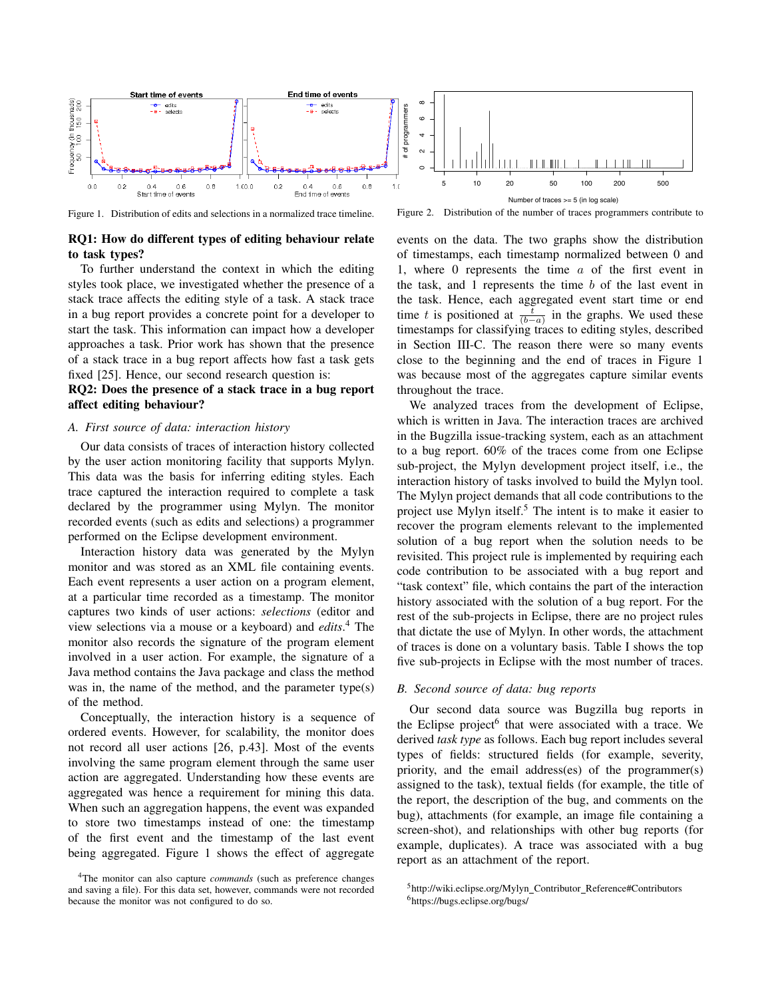

Figure 1. Distribution of edits and selections in a normalized trace timeline.

# **RQ1: How do different types of editing behaviour relate to task types?**

To further understand the context in which the editing styles took place, we investigated whether the presence of a stack trace affects the editing style of a task. A stack trace in a bug report provides a concrete point for a developer to start the task. This information can impact how a developer approaches a task. Prior work has shown that the presence of a stack trace in a bug report affects how fast a task gets fixed [25]. Hence, our second research question is:

# **RQ2: Does the presence of a stack trace in a bug report affect editing behaviour?**

## *A. First source of data: interaction history*

Our data consists of traces of interaction history collected by the user action monitoring facility that supports Mylyn. This data was the basis for inferring editing styles. Each trace captured the interaction required to complete a task declared by the programmer using Mylyn. The monitor recorded events (such as edits and selections) a programmer performed on the Eclipse development environment.

Interaction history data was generated by the Mylyn monitor and was stored as an XML file containing events. Each event represents a user action on a program element, at a particular time recorded as a timestamp. The monitor captures two kinds of user actions: *selections* (editor and view selections via a mouse or a keyboard) and *edits*. <sup>4</sup> The monitor also records the signature of the program element involved in a user action. For example, the signature of a Java method contains the Java package and class the method was in, the name of the method, and the parameter type(s) of the method.

Conceptually, the interaction history is a sequence of ordered events. However, for scalability, the monitor does not record all user actions [26, p.43]. Most of the events involving the same program element through the same user action are aggregated. Understanding how these events are aggregated was hence a requirement for mining this data. When such an aggregation happens, the event was expanded to store two timestamps instead of one: the timestamp of the first event and the timestamp of the last event being aggregated. Figure 1 shows the effect of aggregate

Figure 2. Distribution of the number of traces programmers contribute to

events on the data. The two graphs show the distribution of timestamps, each timestamp normalized between 0 and 1, where 0 represents the time  $a$  of the first event in the task, and 1 represents the time  $b$  of the last event in the task. Hence, each aggregated event start time or end time *t* is positioned at  $\frac{t}{(b-a)}$  in the graphs. We used these timestamps for classifying traces to editing styles, described in Section III-C. The reason there were so many events close to the beginning and the end of traces in Figure 1 was because most of the aggregates capture similar events throughout the trace.

We analyzed traces from the development of Eclipse, which is written in Java. The interaction traces are archived in the Bugzilla issue-tracking system, each as an attachment to a bug report. 60% of the traces come from one Eclipse sub-project, the Mylyn development project itself, i.e., the interaction history of tasks involved to build the Mylyn tool. The Mylyn project demands that all code contributions to the project use Mylyn itself.<sup>5</sup> The intent is to make it easier to recover the program elements relevant to the implemented solution of a bug report when the solution needs to be revisited. This project rule is implemented by requiring each code contribution to be associated with a bug report and "task context" file, which contains the part of the interaction history associated with the solution of a bug report. For the rest of the sub-projects in Eclipse, there are no project rules that dictate the use of Mylyn. In other words, the attachment of traces is done on a voluntary basis. Table I shows the top five sub-projects in Eclipse with the most number of traces.

### *B. Second source of data: bug reports*

Our second data source was Bugzilla bug reports in the Eclipse project<sup>6</sup> that were associated with a trace. We derived *task type* as follows. Each bug report includes several types of fields: structured fields (for example, severity, priority, and the email address(es) of the programmer(s) assigned to the task), textual fields (for example, the title of the report, the description of the bug, and comments on the bug), attachments (for example, an image file containing a screen-shot), and relationships with other bug reports (for example, duplicates). A trace was associated with a bug report as an attachment of the report.

<sup>4</sup>The monitor can also capture *commands* (such as preference changes and saving a file). For this data set, however, commands were not recorded because the monitor was not configured to do so.

<sup>5</sup>http://wiki.eclipse.org/Mylyn Contributor Reference#Contributors 6https://bugs.eclipse.org/bugs/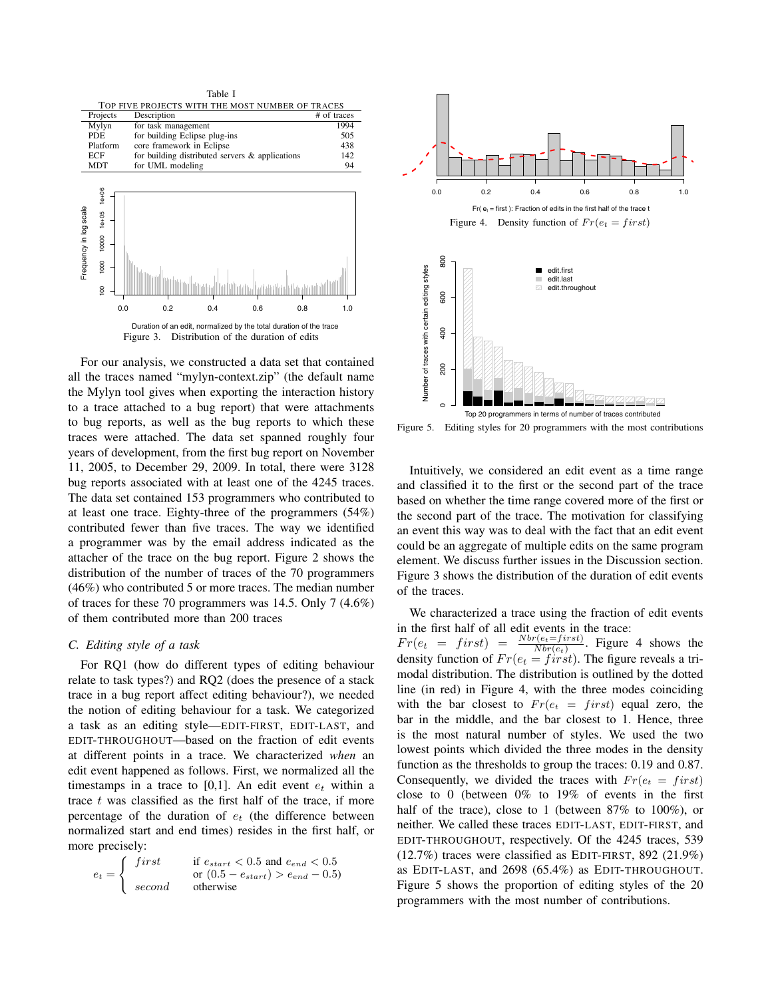Table I



For our analysis, we constructed a data set that contained all the traces named "mylyn-context.zip" (the default name the Mylyn tool gives when exporting the interaction history to a trace attached to a bug report) that were attachments to bug reports, as well as the bug reports to which these traces were attached. The data set spanned roughly four years of development, from the first bug report on November 11, 2005, to December 29, 2009. In total, there were 3128 bug reports associated with at least one of the 4245 traces. The data set contained 153 programmers who contributed to at least one trace. Eighty-three of the programmers (54%) contributed fewer than five traces. The way we identified a programmer was by the email address indicated as the attacher of the trace on the bug report. Figure 2 shows the distribution of the number of traces of the 70 programmers (46%) who contributed 5 or more traces. The median number of traces for these 70 programmers was 14.5. Only 7 (4.6%) of them contributed more than 200 traces

### *C. Editing style of a task*

For RQ1 (how do different types of editing behaviour relate to task types?) and RQ2 (does the presence of a stack trace in a bug report affect editing behaviour?), we needed the notion of editing behaviour for a task. We categorized a task as an editing style—EDIT-FIRST, EDIT-LAST, and EDIT-THROUGHOUT—based on the fraction of edit events at different points in a trace. We characterized *when* an edit event happened as follows. First, we normalized all the timestamps in a trace to [0,1]. An edit event  $e_t$  within a trace  $t$  was classified as the first half of the trace, if more percentage of the duration of  $e_t$  (the difference between normalized start and end times) resides in the first half, or more precisely:

$$
e_t = \begin{cases} \n\text{first} & \text{if } e_{start} < 0.5 \text{ and } e_{end} < 0.5\\ \n\text{or } (0.5 - e_{start}) > e_{end} - 0.5\\ \n\text{second} & \text{otherwise} \n\end{cases}
$$



Figure 5. Editing styles for 20 programmers with the most contributions

Intuitively, we considered an edit event as a time range and classified it to the first or the second part of the trace based on whether the time range covered more of the first or the second part of the trace. The motivation for classifying an event this way was to deal with the fact that an edit event could be an aggregate of multiple edits on the same program element. We discuss further issues in the Discussion section. Figure 3 shows the distribution of the duration of edit events of the traces.

We characterized a trace using the fraction of edit events in the first half of all edit events in the trace:

 $Fr(e_t = first) = \frac{Nbr(e_t = first)}{Nbr(e_t)}$ . Figure 4 shows the density function of  $Fr(e_t = first)$ . The figure reveals a trimodal distribution. The distribution is outlined by the dotted line (in red) in Figure 4, with the three modes coinciding with the bar closest to  $Fr(e_t = first)$  equal zero, the bar in the middle, and the bar closest to 1. Hence, three is the most natural number of styles. We used the two lowest points which divided the three modes in the density function as the thresholds to group the traces: 0.19 and 0.87. Consequently, we divided the traces with  $Fr(e_t = first)$ close to 0 (between 0% to 19% of events in the first half of the trace), close to 1 (between 87% to 100%), or neither. We called these traces EDIT-LAST, EDIT-FIRST, and EDIT-THROUGHOUT, respectively. Of the 4245 traces, 539 (12.7%) traces were classified as EDIT-FIRST, 892 (21.9%) as EDIT-LAST, and 2698 (65.4%) as EDIT-THROUGHOUT. Figure 5 shows the proportion of editing styles of the 20 programmers with the most number of contributions.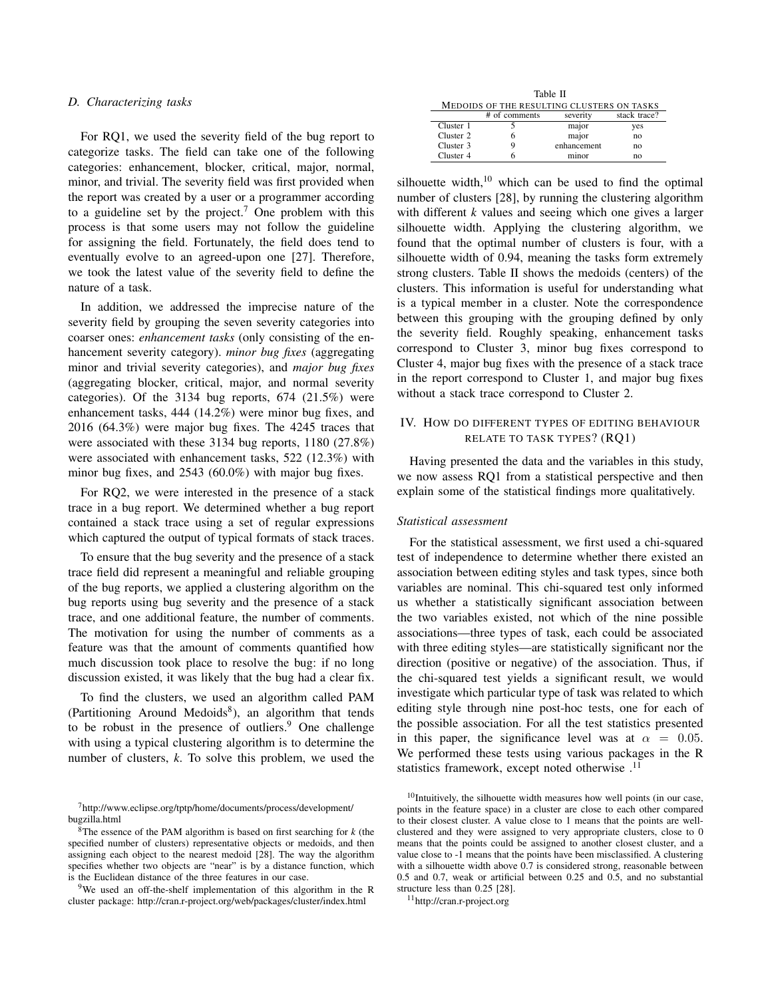### *D. Characterizing tasks*

For RQ1, we used the severity field of the bug report to categorize tasks. The field can take one of the following categories: enhancement, blocker, critical, major, normal, minor, and trivial. The severity field was first provided when the report was created by a user or a programmer according to a guideline set by the project.<sup>7</sup> One problem with this process is that some users may not follow the guideline for assigning the field. Fortunately, the field does tend to eventually evolve to an agreed-upon one [27]. Therefore, we took the latest value of the severity field to define the nature of a task.

In addition, we addressed the imprecise nature of the severity field by grouping the seven severity categories into coarser ones: *enhancement tasks* (only consisting of the enhancement severity category). *minor bug fixes* (aggregating minor and trivial severity categories), and *major bug fixes* (aggregating blocker, critical, major, and normal severity categories). Of the 3134 bug reports, 674 (21.5%) were enhancement tasks, 444 (14.2%) were minor bug fixes, and 2016 (64.3%) were major bug fixes. The 4245 traces that were associated with these 3134 bug reports, 1180 (27.8%) were associated with enhancement tasks, 522 (12.3%) with minor bug fixes, and 2543 (60.0%) with major bug fixes.

For RQ2, we were interested in the presence of a stack trace in a bug report. We determined whether a bug report contained a stack trace using a set of regular expressions which captured the output of typical formats of stack traces.

To ensure that the bug severity and the presence of a stack trace field did represent a meaningful and reliable grouping of the bug reports, we applied a clustering algorithm on the bug reports using bug severity and the presence of a stack trace, and one additional feature, the number of comments. The motivation for using the number of comments as a feature was that the amount of comments quantified how much discussion took place to resolve the bug: if no long discussion existed, it was likely that the bug had a clear fix.

To find the clusters, we used an algorithm called PAM (Partitioning Around Medoids<sup>8</sup>), an algorithm that tends to be robust in the presence of outliers.<sup>9</sup> One challenge with using a typical clustering algorithm is to determine the number of clusters, *k*. To solve this problem, we used the

Table II MEDOIDS OF THE RESULTING CLUSTERS ON TASKS<br># of comments severity stack trace? # of comments Cluster 1 5 major yes<br>
Cluster 2 6 major no Cluster 2 6<br>Cluster 3 9 enhancement no Cluster 4 6 minor no

silhouette width, $10$  which can be used to find the optimal number of clusters [28], by running the clustering algorithm with different *k* values and seeing which one gives a larger silhouette width. Applying the clustering algorithm, we found that the optimal number of clusters is four, with a silhouette width of 0.94, meaning the tasks form extremely strong clusters. Table II shows the medoids (centers) of the clusters. This information is useful for understanding what is a typical member in a cluster. Note the correspondence between this grouping with the grouping defined by only the severity field. Roughly speaking, enhancement tasks correspond to Cluster 3, minor bug fixes correspond to Cluster 4, major bug fixes with the presence of a stack trace in the report correspond to Cluster 1, and major bug fixes without a stack trace correspond to Cluster 2.

# IV. HOW DO DIFFERENT TYPES OF EDITING BEHAVIOUR RELATE TO TASK TYPES? (RQ1)

Having presented the data and the variables in this study, we now assess RQ1 from a statistical perspective and then explain some of the statistical findings more qualitatively.

#### *Statistical assessment*

For the statistical assessment, we first used a chi-squared test of independence to determine whether there existed an association between editing styles and task types, since both variables are nominal. This chi-squared test only informed us whether a statistically significant association between the two variables existed, not which of the nine possible associations—three types of task, each could be associated with three editing styles—are statistically significant nor the direction (positive or negative) of the association. Thus, if the chi-squared test yields a significant result, we would investigate which particular type of task was related to which editing style through nine post-hoc tests, one for each of the possible association. For all the test statistics presented in this paper, the significance level was at  $\alpha = 0.05$ . We performed these tests using various packages in the R statistics framework, except noted otherwise .<sup>11</sup>

11http://cran.r-project.org

<sup>7</sup>http://www.eclipse.org/tptp/home/documents/process/development/ bugzilla.html

<sup>8</sup>The essence of the PAM algorithm is based on first searching for *k* (the specified number of clusters) representative objects or medoids, and then assigning each object to the nearest medoid [28]. The way the algorithm specifies whether two objects are "near" is by a distance function, which is the Euclidean distance of the three features in our case.

<sup>9</sup>We used an off-the-shelf implementation of this algorithm in the R cluster package: http://cran.r-project.org/web/packages/cluster/index.html

 $10$ Intuitively, the silhouette width measures how well points (in our case, points in the feature space) in a cluster are close to each other compared to their closest cluster. A value close to 1 means that the points are wellclustered and they were assigned to very appropriate clusters, close to 0 means that the points could be assigned to another closest cluster, and a value close to -1 means that the points have been misclassified. A clustering with a silhouette width above 0.7 is considered strong, reasonable between 0.5 and 0.7, weak or artificial between 0.25 and 0.5, and no substantial structure less than 0.25 [28].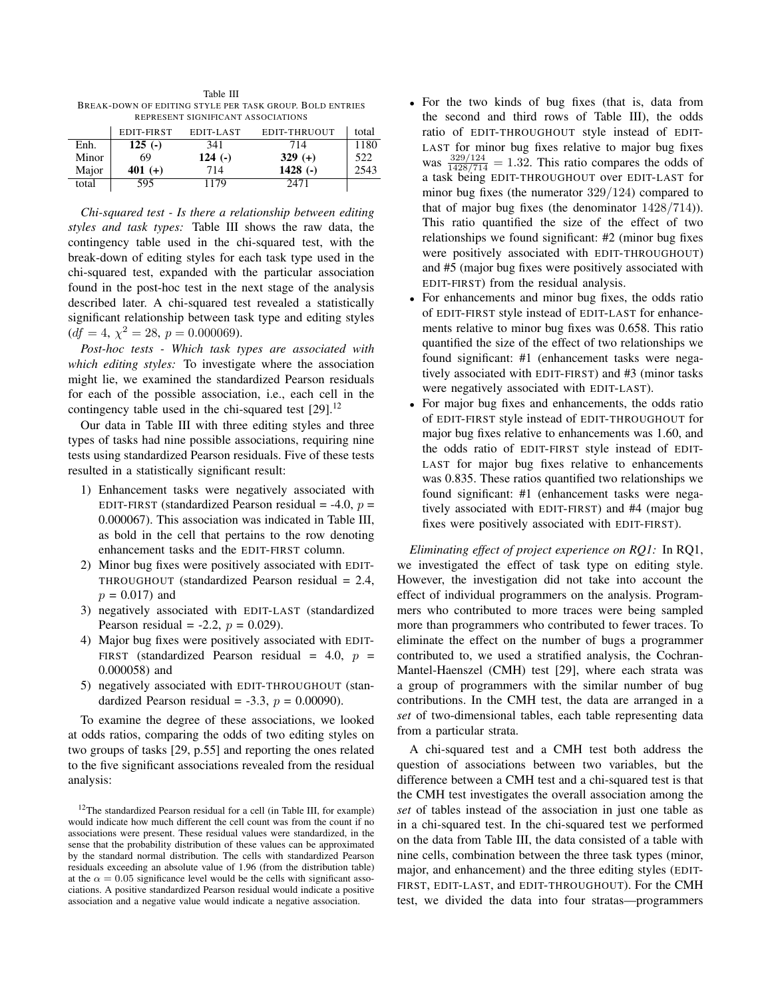Table III BREAK-DOWN OF EDITING STYLE PER TASK GROUP. BOLD ENTRIES REPRESENT SIGNIFICANT ASSOCIATIONS

|       | EDIT-FIRST | EDIT-LAST | EDIT-THRUOUT | total |
|-------|------------|-----------|--------------|-------|
| Enh.  | 125 $(-)$  | 341       | 714          | 1180  |
| Minor | 69         | $124$ (-) | $329 (+)$    | 522   |
| Major | 401 $(+)$  | 714       | 1428 $(-)$   | 2543  |
| total | 595        | 1179      | 2471         |       |

*Chi-squared test - Is there a relationship between editing styles and task types:* Table III shows the raw data, the contingency table used in the chi-squared test, with the break-down of editing styles for each task type used in the chi-squared test, expanded with the particular association found in the post-hoc test in the next stage of the analysis described later. A chi-squared test revealed a statistically significant relationship between task type and editing styles  $(df = 4, \chi^2 = 28, p = 0.000069).$ 

*Post-hoc tests - Which task types are associated with which editing styles:* To investigate where the association might lie, we examined the standardized Pearson residuals for each of the possible association, i.e., each cell in the contingency table used in the chi-squared test  $[29]$ .<sup>12</sup>

Our data in Table III with three editing styles and three types of tasks had nine possible associations, requiring nine tests using standardized Pearson residuals. Five of these tests resulted in a statistically significant result:

- 1) Enhancement tasks were negatively associated with EDIT-FIRST (standardized Pearson residual = -4.0,  $p =$ 0.000067). This association was indicated in Table III, as bold in the cell that pertains to the row denoting enhancement tasks and the EDIT-FIRST column.
- 2) Minor bug fixes were positively associated with EDIT-THROUGHOUT (standardized Pearson residual = 2.4,  $p = 0.017$ ) and
- 3) negatively associated with EDIT-LAST (standardized Pearson residual =  $-2.2$ ,  $p = 0.029$ ).
- 4) Major bug fixes were positively associated with EDIT-FIRST (standardized Pearson residual = 4.0,  $p =$ 0.000058) and
- 5) negatively associated with EDIT-THROUGHOUT (standardized Pearson residual =  $-3.3$ ,  $p = 0.00090$ .

To examine the degree of these associations, we looked at odds ratios, comparing the odds of two editing styles on two groups of tasks [29, p.55] and reporting the ones related to the five significant associations revealed from the residual analysis:

- <sup>∙</sup> For the two kinds of bug fixes (that is, data from the second and third rows of Table III), the odds ratio of EDIT-THROUGHOUT style instead of EDIT-LAST for minor bug fixes relative to major bug fixes was  $\frac{329/124}{1428/714} = 1.32$ . This ratio compares the odds of a task being EDIT-THROUGHOUT over EDIT-LAST for minor bug fixes (the numerator 329/124) compared to that of major bug fixes (the denominator 1428/714)). This ratio quantified the size of the effect of two relationships we found significant: #2 (minor bug fixes were positively associated with EDIT-THROUGHOUT) and #5 (major bug fixes were positively associated with EDIT-FIRST) from the residual analysis.
- <sup>∙</sup> For enhancements and minor bug fixes, the odds ratio of EDIT-FIRST style instead of EDIT-LAST for enhancements relative to minor bug fixes was 0.658. This ratio quantified the size of the effect of two relationships we found significant: #1 (enhancement tasks were negatively associated with EDIT-FIRST) and #3 (minor tasks were negatively associated with EDIT-LAST).
- <sup>∙</sup> For major bug fixes and enhancements, the odds ratio of EDIT-FIRST style instead of EDIT-THROUGHOUT for major bug fixes relative to enhancements was 1.60, and the odds ratio of EDIT-FIRST style instead of EDIT-LAST for major bug fixes relative to enhancements was 0.835. These ratios quantified two relationships we found significant: #1 (enhancement tasks were negatively associated with EDIT-FIRST) and #4 (major bug fixes were positively associated with EDIT-FIRST).

*Eliminating effect of project experience on RQ1:* In RQ1, we investigated the effect of task type on editing style. However, the investigation did not take into account the effect of individual programmers on the analysis. Programmers who contributed to more traces were being sampled more than programmers who contributed to fewer traces. To eliminate the effect on the number of bugs a programmer contributed to, we used a stratified analysis, the Cochran-Mantel-Haenszel (CMH) test [29], where each strata was a group of programmers with the similar number of bug contributions. In the CMH test, the data are arranged in a *set* of two-dimensional tables, each table representing data from a particular strata.

A chi-squared test and a CMH test both address the question of associations between two variables, but the difference between a CMH test and a chi-squared test is that the CMH test investigates the overall association among the *set* of tables instead of the association in just one table as in a chi-squared test. In the chi-squared test we performed on the data from Table III, the data consisted of a table with nine cells, combination between the three task types (minor, major, and enhancement) and the three editing styles (EDIT-FIRST, EDIT-LAST, and EDIT-THROUGHOUT). For the CMH test, we divided the data into four stratas—programmers

<sup>12</sup>The standardized Pearson residual for a cell (in Table III, for example) would indicate how much different the cell count was from the count if no associations were present. These residual values were standardized, in the sense that the probability distribution of these values can be approximated by the standard normal distribution. The cells with standardized Pearson residuals exceeding an absolute value of 1.96 (from the distribution table) at the  $\alpha = 0.05$  significance level would be the cells with significant associations. A positive standardized Pearson residual would indicate a positive association and a negative value would indicate a negative association.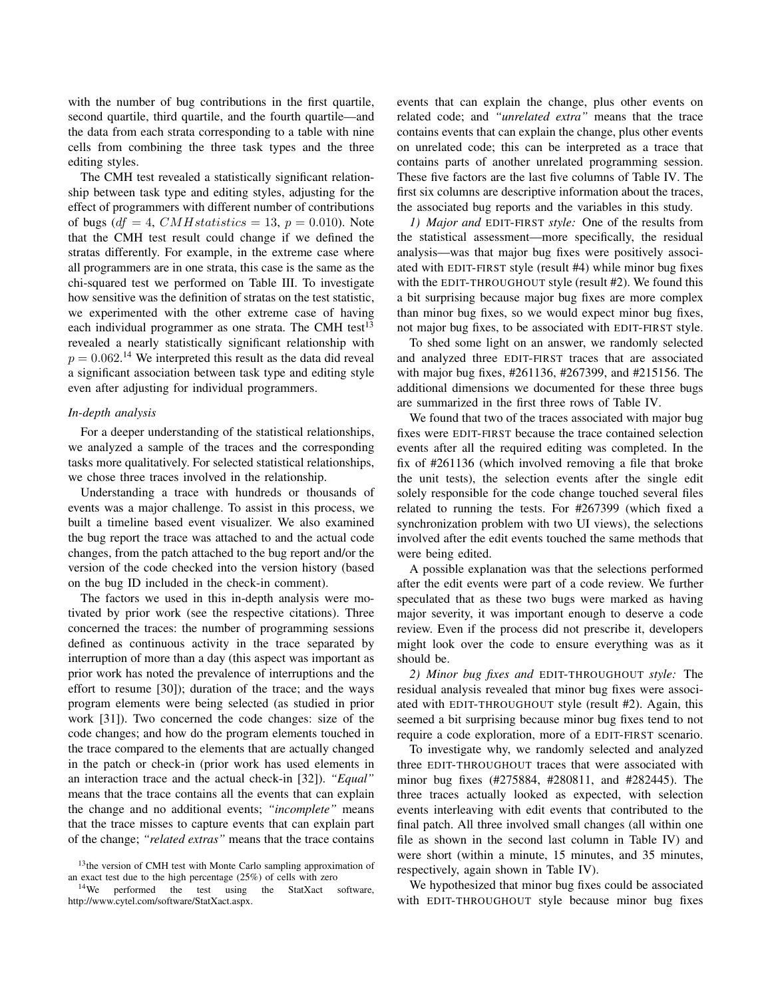with the number of bug contributions in the first quartile, second quartile, third quartile, and the fourth quartile—and the data from each strata corresponding to a table with nine cells from combining the three task types and the three editing styles.

The CMH test revealed a statistically significant relationship between task type and editing styles, adjusting for the effect of programmers with different number of contributions of bugs ( $df = 4$ , CMHstatistics = 13,  $p = 0.010$ ). Note that the CMH test result could change if we defined the stratas differently. For example, in the extreme case where all programmers are in one strata, this case is the same as the chi-squared test we performed on Table III. To investigate how sensitive was the definition of stratas on the test statistic, we experimented with the other extreme case of having each individual programmer as one strata. The CMH test<sup>13</sup> revealed a nearly statistically significant relationship with  $p = 0.062$ .<sup>14</sup> We interpreted this result as the data did reveal a significant association between task type and editing style even after adjusting for individual programmers.

#### *In-depth analysis*

For a deeper understanding of the statistical relationships, we analyzed a sample of the traces and the corresponding tasks more qualitatively. For selected statistical relationships, we chose three traces involved in the relationship.

Understanding a trace with hundreds or thousands of events was a major challenge. To assist in this process, we built a timeline based event visualizer. We also examined the bug report the trace was attached to and the actual code changes, from the patch attached to the bug report and/or the version of the code checked into the version history (based on the bug ID included in the check-in comment).

The factors we used in this in-depth analysis were motivated by prior work (see the respective citations). Three concerned the traces: the number of programming sessions defined as continuous activity in the trace separated by interruption of more than a day (this aspect was important as prior work has noted the prevalence of interruptions and the effort to resume [30]); duration of the trace; and the ways program elements were being selected (as studied in prior work [31]). Two concerned the code changes: size of the code changes; and how do the program elements touched in the trace compared to the elements that are actually changed in the patch or check-in (prior work has used elements in an interaction trace and the actual check-in [32]). *"Equal"* means that the trace contains all the events that can explain the change and no additional events; *"incomplete"* means that the trace misses to capture events that can explain part of the change; *"related extras"* means that the trace contains events that can explain the change, plus other events on related code; and *"unrelated extra"* means that the trace contains events that can explain the change, plus other events on unrelated code; this can be interpreted as a trace that contains parts of another unrelated programming session. These five factors are the last five columns of Table IV. The first six columns are descriptive information about the traces, the associated bug reports and the variables in this study.

*1) Major and* EDIT-FIRST *style:* One of the results from the statistical assessment—more specifically, the residual analysis—was that major bug fixes were positively associated with EDIT-FIRST style (result #4) while minor bug fixes with the EDIT-THROUGHOUT style (result #2). We found this a bit surprising because major bug fixes are more complex than minor bug fixes, so we would expect minor bug fixes, not major bug fixes, to be associated with EDIT-FIRST style.

To shed some light on an answer, we randomly selected and analyzed three EDIT-FIRST traces that are associated with major bug fixes, #261136, #267399, and #215156. The additional dimensions we documented for these three bugs are summarized in the first three rows of Table IV.

We found that two of the traces associated with major bug fixes were EDIT-FIRST because the trace contained selection events after all the required editing was completed. In the fix of #261136 (which involved removing a file that broke the unit tests), the selection events after the single edit solely responsible for the code change touched several files related to running the tests. For #267399 (which fixed a synchronization problem with two UI views), the selections involved after the edit events touched the same methods that were being edited.

A possible explanation was that the selections performed after the edit events were part of a code review. We further speculated that as these two bugs were marked as having major severity, it was important enough to deserve a code review. Even if the process did not prescribe it, developers might look over the code to ensure everything was as it should be.

*2) Minor bug fixes and* EDIT-THROUGHOUT *style:* The residual analysis revealed that minor bug fixes were associated with EDIT-THROUGHOUT style (result #2). Again, this seemed a bit surprising because minor bug fixes tend to not require a code exploration, more of a EDIT-FIRST scenario.

To investigate why, we randomly selected and analyzed three EDIT-THROUGHOUT traces that were associated with minor bug fixes (#275884, #280811, and #282445). The three traces actually looked as expected, with selection events interleaving with edit events that contributed to the final patch. All three involved small changes (all within one file as shown in the second last column in Table IV) and were short (within a minute, 15 minutes, and 35 minutes, respectively, again shown in Table IV).

We hypothesized that minor bug fixes could be associated with EDIT-THROUGHOUT style because minor bug fixes

<sup>&</sup>lt;sup>13</sup>the version of CMH test with Monte Carlo sampling approximation of an exact test due to the high percentage (25%) of cells with zero

<sup>14</sup>We performed the test using the StatXact software, http://www.cytel.com/software/StatXact.aspx.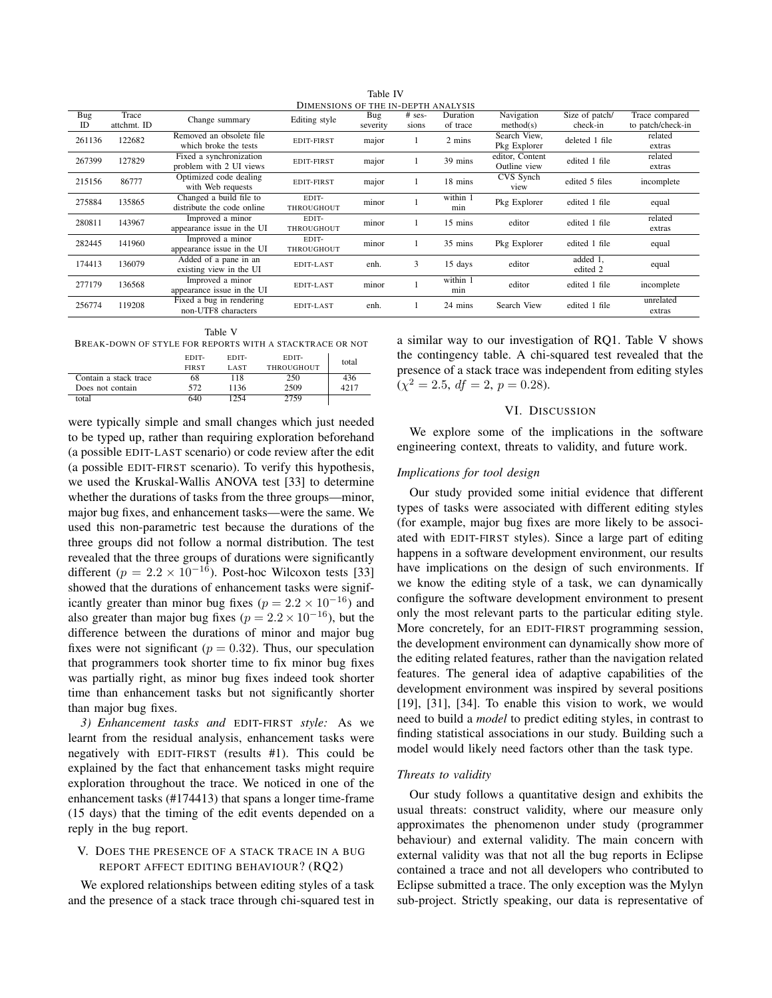|                  |             |                            | DIMENSIONS OF THE IN-DEPTH ANALYSIS |          |          |                   |                 |                |                   |  |
|------------------|-------------|----------------------------|-------------------------------------|----------|----------|-------------------|-----------------|----------------|-------------------|--|
| Bug              | Trace       | Change summary             | Editing style                       | Bug      | $#$ ses- | Duration          | Navigation      | Size of patch/ | Trace compared    |  |
| ID               | attchmt. ID |                            |                                     | severity | sions    | of trace          | method(s)       | check-in       | to patch/check-in |  |
|                  | 122682      | Removed an obsolete file   |                                     |          |          | 2 mins            | Search View,    | deleted 1 file | related           |  |
| 261136           |             | which broke the tests      | EDIT-FIRST                          | major    |          |                   | Pkg Explorer    |                | extras            |  |
| 267399           | 127829      | Fixed a synchronization    |                                     | major    |          |                   | editor, Content | edited 1 file  | related           |  |
|                  |             | problem with 2 UI views    | EDIT-FIRST                          |          |          | 39 mins           | Outline view    |                | extras            |  |
| 215156           | 86777       | Optimized code dealing     |                                     | major    |          | 18 mins           | CVS Synch       | edited 5 files |                   |  |
|                  |             | with Web requests          | EDIT-FIRST                          |          |          |                   | view            |                | incomplete        |  |
| 275884<br>135865 |             | Changed a build file to    | EDIT-                               |          |          | within 1<br>min   | Pkg Explorer    | edited 1 file  |                   |  |
|                  |             | distribute the code online | <b>THROUGHOUT</b>                   | minor    |          |                   |                 |                | equal             |  |
| 280811<br>143967 |             | Improved a minor           | EDIT-                               | minor    |          | $15 \text{ mins}$ | editor          | edited 1 file  | related           |  |
|                  |             | appearance issue in the UI | THROUGHOUT                          |          |          |                   |                 |                | extras            |  |
| 141960           |             | Improved a minor           | EDIT-                               |          |          | 35 mins           |                 | edited 1 file  |                   |  |
| 282445           |             | appearance issue in the UI | THROUGHOUT                          | minor    |          |                   | Pkg Explorer    |                | equal             |  |
| 174413           | 136079      | Added of a pane in an      | EDIT-LAST                           | enh.     | 3        | 15 days           | editor          | added 1.       | equal             |  |
|                  |             | existing view in the UI    |                                     |          |          |                   |                 | edited 2       |                   |  |
| 277179<br>136568 |             | Improved a minor           |                                     | minor    |          | within 1          | editor          | edited 1 file  |                   |  |
|                  |             | appearance issue in the UI | EDIT-LAST                           |          |          | min               |                 |                | incomplete        |  |
| 256774           | 119208      | Fixed a bug in rendering   | EDIT-LAST                           | enh.     |          | 24 mins           | Search View     | edited 1 file  | unrelated         |  |
|                  |             | non-UTF8 characters        |                                     |          |          |                   |                 |                | extras            |  |

Table IV

|  | Table V |  |                                                                                               |  |
|--|---------|--|-----------------------------------------------------------------------------------------------|--|
|  |         |  | . A STRING IN AN INCHEST OF THE MEAN OF THE ALSO AND A STRING OF THE ALSO AND LODGED AT A 45- |  |

| BREAK-DOWN OF STYLE FOR REPORTS WITH A STACKTRACE OR NOT |  |      |  |  |      |  |  |
|----------------------------------------------------------|--|------|--|--|------|--|--|
|                                                          |  | ---- |  |  | ---- |  |  |

|                       | EDIT-        | EDIT-       | EDIT-      | total |
|-----------------------|--------------|-------------|------------|-------|
|                       | <b>FIRST</b> | <b>LAST</b> | THROUGHOUT |       |
| Contain a stack trace | 68           | 118         | 250        | 436   |
| Does not contain      | 572          | 1136        | 2509       | 4217  |
| total                 | 640          | 254         | 2759       |       |

were typically simple and small changes which just needed to be typed up, rather than requiring exploration beforehand (a possible EDIT-LAST scenario) or code review after the edit (a possible EDIT-FIRST scenario). To verify this hypothesis, we used the Kruskal-Wallis ANOVA test [33] to determine whether the durations of tasks from the three groups—minor, major bug fixes, and enhancement tasks—were the same. We used this non-parametric test because the durations of the three groups did not follow a normal distribution. The test revealed that the three groups of durations were significantly different ( $p = 2.2 \times 10^{-16}$ ). Post-hoc Wilcoxon tests [33] showed that the durations of enhancement tasks were significantly greater than minor bug fixes ( $p = 2.2 \times 10^{-16}$ ) and also greater than major bug fixes ( $p = 2.2 \times 10^{-16}$ ), but the difference between the durations of minor and major bug fixes were not significant ( $p = 0.32$ ). Thus, our speculation that programmers took shorter time to fix minor bug fixes was partially right, as minor bug fixes indeed took shorter time than enhancement tasks but not significantly shorter than major bug fixes.

*3) Enhancement tasks and* EDIT-FIRST *style:* As we learnt from the residual analysis, enhancement tasks were negatively with EDIT-FIRST (results #1). This could be explained by the fact that enhancement tasks might require exploration throughout the trace. We noticed in one of the enhancement tasks (#174413) that spans a longer time-frame (15 days) that the timing of the edit events depended on a reply in the bug report.

# V. DOES THE PRESENCE OF A STACK TRACE IN A BUG REPORT AFFECT EDITING BEHAVIOUR? (RQ2)

We explored relationships between editing styles of a task and the presence of a stack trace through chi-squared test in a similar way to our investigation of RQ1. Table V shows the contingency table. A chi-squared test revealed that the presence of a stack trace was independent from editing styles  $(\chi^2 = 2.5, df = 2, p = 0.28).$ 

# VI. DISCUSSION

We explore some of the implications in the software engineering context, threats to validity, and future work.

# *Implications for tool design*

Our study provided some initial evidence that different types of tasks were associated with different editing styles (for example, major bug fixes are more likely to be associated with EDIT-FIRST styles). Since a large part of editing happens in a software development environment, our results have implications on the design of such environments. If we know the editing style of a task, we can dynamically configure the software development environment to present only the most relevant parts to the particular editing style. More concretely, for an EDIT-FIRST programming session, the development environment can dynamically show more of the editing related features, rather than the navigation related features. The general idea of adaptive capabilities of the development environment was inspired by several positions [19], [31], [34]. To enable this vision to work, we would need to build a *model* to predict editing styles, in contrast to finding statistical associations in our study. Building such a model would likely need factors other than the task type.

# *Threats to validity*

Our study follows a quantitative design and exhibits the usual threats: construct validity, where our measure only approximates the phenomenon under study (programmer behaviour) and external validity. The main concern with external validity was that not all the bug reports in Eclipse contained a trace and not all developers who contributed to Eclipse submitted a trace. The only exception was the Mylyn sub-project. Strictly speaking, our data is representative of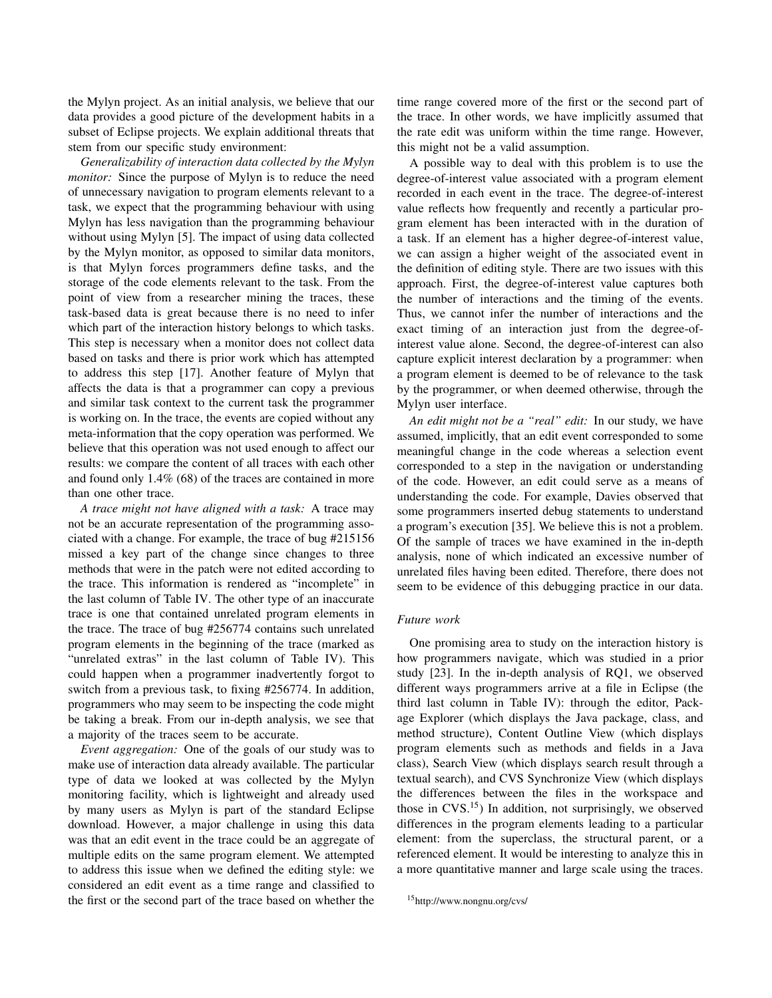the Mylyn project. As an initial analysis, we believe that our data provides a good picture of the development habits in a subset of Eclipse projects. We explain additional threats that stem from our specific study environment:

*Generalizability of interaction data collected by the Mylyn monitor:* Since the purpose of Mylyn is to reduce the need of unnecessary navigation to program elements relevant to a task, we expect that the programming behaviour with using Mylyn has less navigation than the programming behaviour without using Mylyn [5]. The impact of using data collected by the Mylyn monitor, as opposed to similar data monitors, is that Mylyn forces programmers define tasks, and the storage of the code elements relevant to the task. From the point of view from a researcher mining the traces, these task-based data is great because there is no need to infer which part of the interaction history belongs to which tasks. This step is necessary when a monitor does not collect data based on tasks and there is prior work which has attempted to address this step [17]. Another feature of Mylyn that affects the data is that a programmer can copy a previous and similar task context to the current task the programmer is working on. In the trace, the events are copied without any meta-information that the copy operation was performed. We believe that this operation was not used enough to affect our results: we compare the content of all traces with each other and found only 1.4% (68) of the traces are contained in more than one other trace.

*A trace might not have aligned with a task:* A trace may not be an accurate representation of the programming associated with a change. For example, the trace of bug #215156 missed a key part of the change since changes to three methods that were in the patch were not edited according to the trace. This information is rendered as "incomplete" in the last column of Table IV. The other type of an inaccurate trace is one that contained unrelated program elements in the trace. The trace of bug #256774 contains such unrelated program elements in the beginning of the trace (marked as "unrelated extras" in the last column of Table IV). This could happen when a programmer inadvertently forgot to switch from a previous task, to fixing #256774. In addition, programmers who may seem to be inspecting the code might be taking a break. From our in-depth analysis, we see that a majority of the traces seem to be accurate.

*Event aggregation:* One of the goals of our study was to make use of interaction data already available. The particular type of data we looked at was collected by the Mylyn monitoring facility, which is lightweight and already used by many users as Mylyn is part of the standard Eclipse download. However, a major challenge in using this data was that an edit event in the trace could be an aggregate of multiple edits on the same program element. We attempted to address this issue when we defined the editing style: we considered an edit event as a time range and classified to the first or the second part of the trace based on whether the time range covered more of the first or the second part of the trace. In other words, we have implicitly assumed that the rate edit was uniform within the time range. However, this might not be a valid assumption.

A possible way to deal with this problem is to use the degree-of-interest value associated with a program element recorded in each event in the trace. The degree-of-interest value reflects how frequently and recently a particular program element has been interacted with in the duration of a task. If an element has a higher degree-of-interest value, we can assign a higher weight of the associated event in the definition of editing style. There are two issues with this approach. First, the degree-of-interest value captures both the number of interactions and the timing of the events. Thus, we cannot infer the number of interactions and the exact timing of an interaction just from the degree-ofinterest value alone. Second, the degree-of-interest can also capture explicit interest declaration by a programmer: when a program element is deemed to be of relevance to the task by the programmer, or when deemed otherwise, through the Mylyn user interface.

*An edit might not be a "real" edit:* In our study, we have assumed, implicitly, that an edit event corresponded to some meaningful change in the code whereas a selection event corresponded to a step in the navigation or understanding of the code. However, an edit could serve as a means of understanding the code. For example, Davies observed that some programmers inserted debug statements to understand a program's execution [35]. We believe this is not a problem. Of the sample of traces we have examined in the in-depth analysis, none of which indicated an excessive number of unrelated files having been edited. Therefore, there does not seem to be evidence of this debugging practice in our data.

#### *Future work*

One promising area to study on the interaction history is how programmers navigate, which was studied in a prior study [23]. In the in-depth analysis of RQ1, we observed different ways programmers arrive at a file in Eclipse (the third last column in Table IV): through the editor, Package Explorer (which displays the Java package, class, and method structure), Content Outline View (which displays program elements such as methods and fields in a Java class), Search View (which displays search result through a textual search), and CVS Synchronize View (which displays the differences between the files in the workspace and those in  $CVS<sup>15</sup>$  In addition, not surprisingly, we observed differences in the program elements leading to a particular element: from the superclass, the structural parent, or a referenced element. It would be interesting to analyze this in a more quantitative manner and large scale using the traces.

<sup>15</sup>http://www.nongnu.org/cvs/